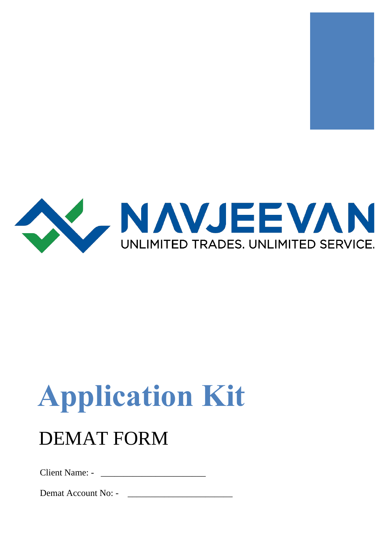



# **Application Kit**

## DEMAT FORM

Client Name: -

Demat Account No: -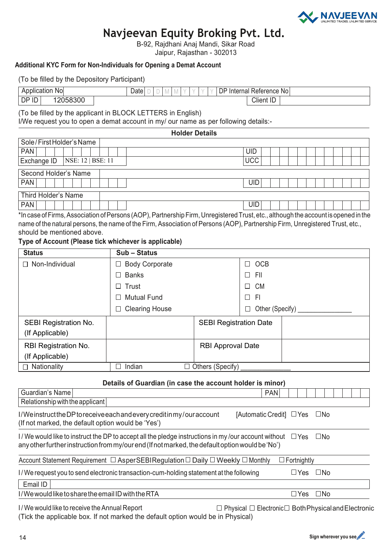

#### **Navjeevan Equity Broking Pvt. Ltd.**

B-92, Rajdhani Anaj Mandi, Sikar Road Jaipur, Rajasthan - 302013

#### **Additional KYC Form for Non-Individuals for Opening a Demat Account**

| (To be filled by the Depository Participant)                                                                                                               |                                                           |                               |                           |                            |  |  |  |  |
|------------------------------------------------------------------------------------------------------------------------------------------------------------|-----------------------------------------------------------|-------------------------------|---------------------------|----------------------------|--|--|--|--|
| Application No                                                                                                                                             | Date $\Box$<br>D<br>$\mathbb M$<br>M                      |                               | DP Internal Reference No  |                            |  |  |  |  |
| DP ID<br>12058300                                                                                                                                          |                                                           |                               | <b>Client ID</b>          |                            |  |  |  |  |
| (To be filled by the applicant in BLOCK LETTERS in English)                                                                                                |                                                           |                               |                           |                            |  |  |  |  |
| I/We request you to open a demat account in my/ our name as per following details:-                                                                        |                                                           |                               |                           |                            |  |  |  |  |
|                                                                                                                                                            | <b>Holder Details</b>                                     |                               |                           |                            |  |  |  |  |
| Sole/FirstHolder's Name                                                                                                                                    |                                                           |                               |                           |                            |  |  |  |  |
| <b>PAN</b>                                                                                                                                                 |                                                           |                               | <b>UID</b>                |                            |  |  |  |  |
| NSE: 12   BSE: 11<br>Exchange ID                                                                                                                           |                                                           |                               | <b>UCC</b>                |                            |  |  |  |  |
| Second Holder's Name                                                                                                                                       |                                                           |                               |                           |                            |  |  |  |  |
| <b>PAN</b>                                                                                                                                                 |                                                           |                               | <b>UID</b>                |                            |  |  |  |  |
| <b>Third Holder's Name</b>                                                                                                                                 |                                                           |                               |                           |                            |  |  |  |  |
| <b>PAN</b>                                                                                                                                                 |                                                           |                               | <b>UID</b>                |                            |  |  |  |  |
| *In case of Firms, Association of Persons (AOP), Partnership Firm, Unregistered Trust, etc., although the account is opened in the                         |                                                           |                               |                           |                            |  |  |  |  |
| name of the natural persons, the name of the Firm, Association of Persons (AOP), Partnership Firm, Unregistered Trust, etc.,<br>should be mentioned above. |                                                           |                               |                           |                            |  |  |  |  |
| Type of Account (Please tick whichever is applicable)                                                                                                      |                                                           |                               |                           |                            |  |  |  |  |
| <b>Status</b>                                                                                                                                              | Sub - Status                                              |                               |                           |                            |  |  |  |  |
| Non-Individual                                                                                                                                             | <b>Body Corporate</b><br>⊔                                |                               | <b>OCB</b><br>⊔           |                            |  |  |  |  |
|                                                                                                                                                            | <b>Banks</b><br>$\vert \ \ \vert$                         |                               | П<br>FII                  |                            |  |  |  |  |
|                                                                                                                                                            |                                                           |                               |                           |                            |  |  |  |  |
|                                                                                                                                                            | Trust                                                     |                               | <b>CM</b><br>$\mathsf{L}$ |                            |  |  |  |  |
|                                                                                                                                                            | <b>Mutual Fund</b><br>$\perp$                             |                               | F <sub>1</sub><br>П       |                            |  |  |  |  |
|                                                                                                                                                            | <b>Clearing House</b><br>$\Box$                           |                               | Other (Specify)<br>П      |                            |  |  |  |  |
| <b>SEBI Registration No.</b>                                                                                                                               |                                                           | <b>SEBI Registration Date</b> |                           |                            |  |  |  |  |
| (If Applicable)                                                                                                                                            |                                                           |                               |                           |                            |  |  |  |  |
| RBI Registration No.                                                                                                                                       |                                                           | <b>RBI Approval Date</b>      |                           |                            |  |  |  |  |
| (If Applicable)                                                                                                                                            |                                                           |                               |                           |                            |  |  |  |  |
| Nationality                                                                                                                                                | Indian<br>$\Box$                                          | $\Box$ Others (Specify)       |                           |                            |  |  |  |  |
|                                                                                                                                                            | Details of Guardian (in case the account holder is minor) |                               |                           |                            |  |  |  |  |
| Guardian's Name                                                                                                                                            |                                                           |                               | <b>PAN</b>                |                            |  |  |  |  |
| Relationship with the applicant                                                                                                                            |                                                           |                               |                           |                            |  |  |  |  |
| I/WeinstructtheDP to receive each and every credit in my/our account                                                                                       |                                                           |                               | [Automatic Credit]        | $\Box$ Yes<br>$\square$ No |  |  |  |  |
| (If not marked, the default option would be 'Yes')                                                                                                         |                                                           |                               |                           |                            |  |  |  |  |
| I/We would like to instruct the DP to accept all the pledge instructions in my/our account without<br>$\square$ No<br>$\Box$ Yes                           |                                                           |                               |                           |                            |  |  |  |  |
| any other further instruction from my/our end (If not marked, the default option would be 'No')                                                            |                                                           |                               |                           |                            |  |  |  |  |
|                                                                                                                                                            |                                                           |                               |                           |                            |  |  |  |  |
| Account Statement Requirement □ AsperSEBIRegulation □ Daily □ Weekly □ Monthly<br>$\Box$ Fortnightly                                                       |                                                           |                               |                           |                            |  |  |  |  |
| I/We request you to send electronic transaction-cum-holding statement at the following                                                                     |                                                           |                               |                           | $\Box$ Yes<br>$\square$ No |  |  |  |  |
| Email ID                                                                                                                                                   |                                                           |                               |                           |                            |  |  |  |  |

I/We would like to share the email ID with the RTA  $\square$  Yes  $\square$  No

I/We would like to receive the Annual Report  $\square$  Physical  $\square$  Electronic Both Physical and Electronic (Tick the applicable box. If not marked the default option would be in Physical)

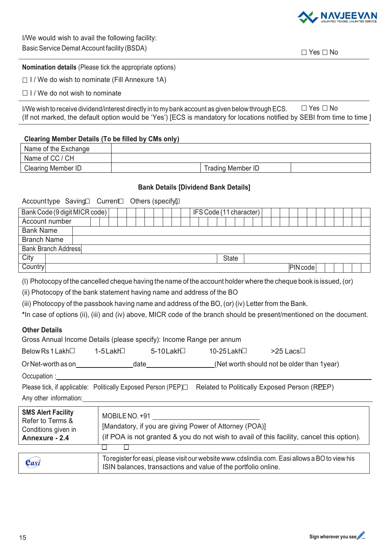

I/We would wish to avail the following facility: Basic Service Demat Account facility (BSDA)  $\square$  Yes  $\square$  No

#### **Nomination details** (Please tick the appropriate options)

 $\Box$  I / We do wish to nominate (Fill Annexure 1A)

 $\Box$  I / We do not wish to nominate

I/We wish to receive dividend/interest directly in to my bank account as given below through ECS.  $\Box$  Yes  $\Box$  No (If not marked, the default option would be 'Yes') [ECS is mandatory for locations notified by SEBI from time to time ]

#### **Clearing Member Details (To be filled by CMs only)**

| Name of the Exchange |                   |  |
|----------------------|-------------------|--|
| Name of CC / CH      |                   |  |
| Clearing Member ID   | Trading Member ID |  |

#### **Bank Details [Dividend Bank Details]**

Accounttype Saving Current Others (specify)

| Bank Code (9 digit MICR code) |  |  |  |  | IFS Code (11 character) |  |  |  |  |  |  |  |  |  |              |  |  |  |         |  |  |  |  |
|-------------------------------|--|--|--|--|-------------------------|--|--|--|--|--|--|--|--|--|--------------|--|--|--|---------|--|--|--|--|
| Account number                |  |  |  |  |                         |  |  |  |  |  |  |  |  |  |              |  |  |  |         |  |  |  |  |
| <b>Bank Name</b>              |  |  |  |  |                         |  |  |  |  |  |  |  |  |  |              |  |  |  |         |  |  |  |  |
| <b>Branch Name</b>            |  |  |  |  |                         |  |  |  |  |  |  |  |  |  |              |  |  |  |         |  |  |  |  |
| Bank Branch Address           |  |  |  |  |                         |  |  |  |  |  |  |  |  |  |              |  |  |  |         |  |  |  |  |
| City                          |  |  |  |  |                         |  |  |  |  |  |  |  |  |  | <b>State</b> |  |  |  |         |  |  |  |  |
| Country                       |  |  |  |  |                         |  |  |  |  |  |  |  |  |  |              |  |  |  | PlNcode |  |  |  |  |

(I) Photocopy of the cancelled cheque having the name of the account holder where the cheque book is issued,(or)

(ii) Photocopy of the bank statement having name and address of the BO

(iii) Photocopy of the passbook having name and address of the BO, (or) (iv) Letter from the Bank.

**\***In case of options (ii), (iii) and (iv) above, MICR code of the branch should be present/mentioned on the document.

#### **Other Details**

| Gross Annual Income Details (please specify): Income Range per annum |           |           |             |                                            |  |  |  |  |  |
|----------------------------------------------------------------------|-----------|-----------|-------------|--------------------------------------------|--|--|--|--|--|
| Below Rs 1 Lakh $\Box$                                               | 1-5 Lakh⊟ | 5-10Lakh⊟ | 10-25 Lakh⊟ | $>$ 25 Lacs $\Box$                         |  |  |  |  |  |
| Or Net-worth as on                                                   |           | date      |             | (Net worth should not be older than 1year) |  |  |  |  |  |
| Occupation :                                                         |           |           |             |                                            |  |  |  |  |  |

Please tick, if applicable: Politically Exposed Person (PEP) $\Box$  Related to Politically Exposed Person (REEP) Any other information:

| <b>SMS Alert Facility</b><br>Refer to Terms &<br>Conditions given in<br>Annexure - 2.4 | MOBILE NO. +91<br>[Mandatory, if you are giving Power of Attorney (POA)]<br>(if POA is not granted & you do not wish to avail of this facility, cancel this option). |
|----------------------------------------------------------------------------------------|----------------------------------------------------------------------------------------------------------------------------------------------------------------------|
|                                                                                        |                                                                                                                                                                      |
| Casi                                                                                   | To register for easi, please visit our website www.cdslindia.com. Easi allows a BO to view his<br>ISIN balances, transactions and value of the portfolio online.     |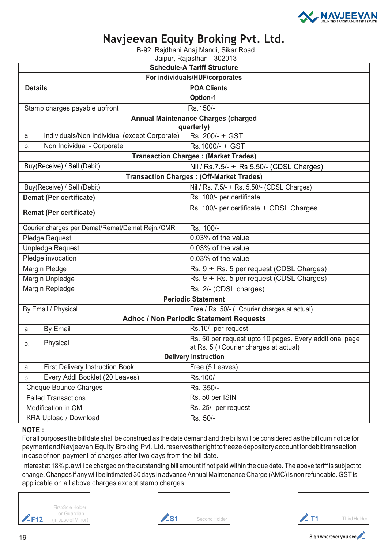

### **Navjeevan Equity Broking Pvt. Ltd.**

B-92, Rajdhani Anaj Mandi, Sikar Road

Jaipur, Rajasthan - 302013

|    | <b>Schedule-A Tariff Structure</b>              |                                                                                                  |  |  |  |  |  |  |  |
|----|-------------------------------------------------|--------------------------------------------------------------------------------------------------|--|--|--|--|--|--|--|
|    | For individuals/HUF/corporates                  |                                                                                                  |  |  |  |  |  |  |  |
|    | <b>Details</b>                                  | <b>POA Clients</b>                                                                               |  |  |  |  |  |  |  |
|    |                                                 | <b>Option-1</b>                                                                                  |  |  |  |  |  |  |  |
|    | Stamp charges payable upfront                   | Rs.150/-                                                                                         |  |  |  |  |  |  |  |
|    |                                                 | <b>Annual Maintenance Charges (charged</b>                                                       |  |  |  |  |  |  |  |
|    |                                                 | quarterly)                                                                                       |  |  |  |  |  |  |  |
| a. | Individuals/Non Individual (except Corporate)   | Rs. 200/- + GST                                                                                  |  |  |  |  |  |  |  |
| b. | Non Individual - Corporate                      | Rs.1000/- + GST                                                                                  |  |  |  |  |  |  |  |
|    |                                                 | <b>Transaction Charges: (Market Trades)</b>                                                      |  |  |  |  |  |  |  |
|    | Buy(Receive) / Sell (Debit)                     | Nil / Rs.7.5/- + Rs 5.50/- (CDSL Charges)                                                        |  |  |  |  |  |  |  |
|    |                                                 | <b>Transaction Charges: (Off-Market Trades)</b>                                                  |  |  |  |  |  |  |  |
|    | Buy(Receive) / Sell (Debit)                     | Nil / Rs. 7.5/- + Rs. 5.50/- (CDSL Charges)                                                      |  |  |  |  |  |  |  |
|    | <b>Demat (Per certificate)</b>                  | Rs. 100/- per certificate                                                                        |  |  |  |  |  |  |  |
|    | <b>Remat (Per certificate)</b>                  | Rs. 100/- per certificate + CDSL Charges                                                         |  |  |  |  |  |  |  |
|    | Courier charges per Demat/Remat/Demat Rejn./CMR | Rs. 100/-                                                                                        |  |  |  |  |  |  |  |
|    | <b>Pledge Request</b>                           | 0.03% of the value                                                                               |  |  |  |  |  |  |  |
|    | <b>Unpledge Request</b>                         | 0.03% of the value                                                                               |  |  |  |  |  |  |  |
|    | Pledge invocation                               | 0.03% of the value                                                                               |  |  |  |  |  |  |  |
|    | Margin Pledge                                   | Rs. 9 + Rs. 5 per request (CDSL Charges)                                                         |  |  |  |  |  |  |  |
|    | Margin Unpledge                                 | Rs. 9 + Rs. 5 per request (CDSL Charges)                                                         |  |  |  |  |  |  |  |
|    | Margin Repledge                                 | Rs. 2/- (CDSL charges)                                                                           |  |  |  |  |  |  |  |
|    |                                                 | <b>Periodic Statement</b>                                                                        |  |  |  |  |  |  |  |
|    | By Email / Physical                             | Free / Rs. 50/- (+Courier charges at actual)                                                     |  |  |  |  |  |  |  |
|    |                                                 | <b>Adhoc / Non Periodic Statement Requests</b>                                                   |  |  |  |  |  |  |  |
| a. | By Email                                        | Rs.10/- per request                                                                              |  |  |  |  |  |  |  |
| b. | Physical                                        | Rs. 50 per request upto 10 pages. Every additional page<br>at Rs. 5 (+Courier charges at actual) |  |  |  |  |  |  |  |
|    |                                                 | <b>Delivery instruction</b>                                                                      |  |  |  |  |  |  |  |
| a. | <b>First Delivery Instruction Book</b>          | Free (5 Leaves)                                                                                  |  |  |  |  |  |  |  |
| b. | Every Addl Booklet (20 Leaves)                  | Rs.100/-                                                                                         |  |  |  |  |  |  |  |
|    | <b>Cheque Bounce Charges</b>                    | Rs. 350/-                                                                                        |  |  |  |  |  |  |  |
|    | <b>Failed Transactions</b>                      | Rs. 50 per ISIN                                                                                  |  |  |  |  |  |  |  |
|    | Modification in CML                             | Rs. 25/- per request                                                                             |  |  |  |  |  |  |  |
|    | <b>KRA Upload / Download</b>                    | Rs. 50/-                                                                                         |  |  |  |  |  |  |  |

#### **NOTE :**

For all purposes the bill date shall be construed as the date demand and the bills will be considered as the bill cum notice for paymentandNavjeevan Equity Broking Pvt. Ltd.reservestherighttofreezedepositoryaccountfordebittransaction incaseofnon payment of charges after two days from the bill date.

Interest at 18% p.a will be charged on the outstanding bill amount if not paid within the due date. The above tariff is subject to change. Changes if any will be intimated 30 days in advance Annual Maintenance Charge (AMC)is non refundable. GST is applicable on all above charges except stamp charges.







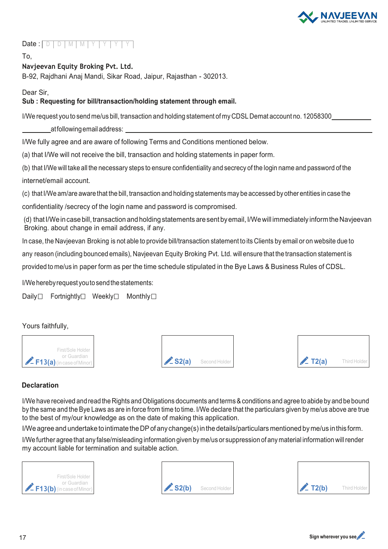

#### Date:  $\Box$ D D M M Y Y Y Y

To,

#### **Navjeevan Equity Broking Pvt. Ltd.**

B-92, Rajdhani Anaj Mandi, Sikar Road, Jaipur, Rajasthan - 302013.

Dear Sir,

#### **Sub : Requesting for bill/transaction/holding statement through email.**

I/We request you to send me/us bill, transaction and holding statement of my CDSL Demat account no. 12058300

atfollowingemailaddress:

I/We fully agree and are aware of following Terms and Conditions mentioned below.

(a) that I/We will not receive the bill, transaction and holding statements in paper form.

(b) that I/We will take all the necessary steps to ensure confidentiality and secrecy of the login name and password of the internet/email account.

(c) that I/We am/are aware that the bill, transaction and holding statements may be accessed by other entities in case the

confidentiality /secrecy of the login name and password is compromised.

(d) that I/We in case bill, transaction and holding statements are sent by email, I/We will immediately inform the Navjeevan Broking. about change in email address, if any.

In case, the Navjeevan Broking is not able to provide bill/transaction statement to its Clients by email or on website due to

any reason (including bounced emails), Navjeevan Equity Broking Pvt. Ltd. will ensure that the transaction statement is

provided to me/us in paper form as per the time schedule stipulated in the Bye Laws & Business Rules of CDSL.

I/Weherebyrequest youtosendthestatements:

Daily Fortnightly Meekly Monthly  $\Box$ 

Yours faithfully,







#### **Declaration**

I/We have received and read the Rights and Obligations documents and terms & conditions and agree to abide by and be bound by the same and the Bye Laws as are in force from time to time. I/We declare that the particulars given by me/us above are true to the best of my/our knowledge as on the date of making this application.

I/We agree and undertake to intimate the DP of any change(s) in the details/particulars mentioned by me/us in this form.

I/We further agree that any false/misleading information given by me/us or suppression of any material information willrender my account liable for termination and suitable action.







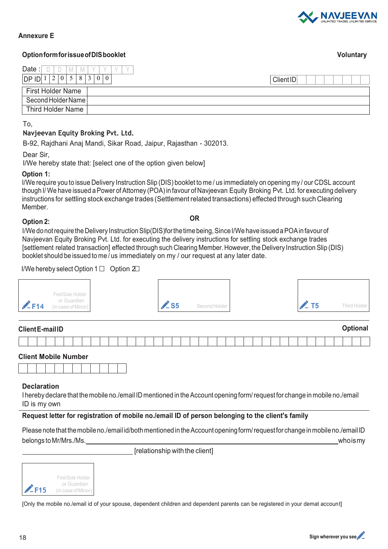

#### **Annexure E**

#### **OptionformforissueofDISbooklet Voluntary**

| Date                                                                    |                  |
|-------------------------------------------------------------------------|------------------|
| DP ID<br>8<br>$\bigcap$<br>$\bigcap$<br>$\overline{0}$<br>$\theta$<br>∠ | <b>Client ID</b> |
| First Holder Name                                                       |                  |
| Second Holder Name                                                      |                  |
| Third Holder Name                                                       |                  |

#### To,

#### **Navjeevan Equity Broking Pvt. Ltd.**

B-92, Rajdhani Anaj Mandi, Sikar Road, Jaipur, Rajasthan - 302013.

Dear Sir,

I/We hereby state that: [select one of the option given below]

#### **Option 1:**

I/We require you to issue Delivery Instruction Slip (DIS) booklet to me / us immediately on opening my / our CDSL account though I/ We have issued aPower of Attorney (POA)in favour of Navjeevan Equity Broking Pvt. Ltd. for executing delivery instructions for settling stock exchange trades (Settlement related transactions) effected through such Clearing Member.

#### **Option 2: OR**

I/We donot require the Delivery Instruction Slip(DIS)for the time being, Since I/We have issued a POA in favour of Navjeevan Equity Broking Pvt. Ltd. for executing the delivery instructions for settling stock exchange trades [settlement related transaction] effected through such Clearing Member. However, the Delivery Instruction Slip (DIS) booklet should be issued to me / us immediately on my / our request at any later date.

#### I/We hereby select Option  $1 \Box$  Option  $2 \Box$



#### **Declaration**

I hereby declare that the mobile no./email ID mentioned in the Account opening form/ request for change in mobile no./email ID is my own

#### **Request letter for registration of mobile no./email ID of person belonging to the client's family**

Please note that the mobile no./email id/both mentioned in the Account opening form/request for change in mobile no./email ID belongs to Mr/Mrs./Ms. whoismy

[relationship with the client]



[Only the mobile no./email id of your spouse, dependent children and dependent parents can be registered in your demat account]

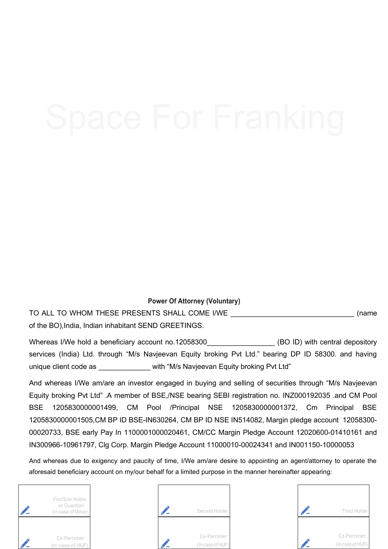#### **Power Of Attorney (Voluntary)**

TO ALL TO WHOM THESE PRESENTS SHALL COME I/WE \_\_\_\_\_\_\_\_\_\_\_\_\_\_\_\_\_\_\_\_\_\_\_\_\_\_\_\_\_\_\_ (name of the BO),India, Indian inhabitant SEND GREETINGS.

Whereas I/We hold a beneficiary account no.12058300\_\_\_\_\_\_\_\_\_\_\_\_\_\_\_\_\_\_\_\_\_ (BO ID) with central depository services (India) Ltd. through "M/s Navjeevan Equity broking Pvt Ltd." bearing DP ID 58300. and having unique client code as \_\_\_\_\_\_\_\_\_\_\_\_\_\_ with "M/s Navjeevan Equity broking Pvt Ltd"

And whereas I/We am/are an investor engaged in buying and selling of securities through "M/s Navjeevan Equity broking Pvt Ltd" .A member of BSE,/NSE bearing SEBI registration no. INZ000192035 .and CM Pool BSE 1205830000001499, CM Pool /Principal NSE 1205830000001372, Cm Principal BSE 1205830000001505,CM BP ID BSE-IN630264, CM BP ID NSE IN514082, Margin pledge account 12058300- 00020733, BSE early Pay In 1100001000020461, CM/CC Margin Pledge Account 12020600-01410161 and IN300966-10961797, Clg Corp. Margin Pledge Account 11000010-00024341 and IN001150-10000053

And whereas due to exigency and paucity of time, I/We am/are desire to appointing an agent/attorney to operate the aforesaid beneficiary account on my/our behalf for a limited purpose in the manner hereinafter appearing: